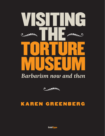

## *Barbarism now and then* m nou



### KAREN GREENBERG

**ColdType**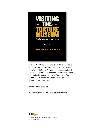

**Karen J. Greenberg**, the Executive Director of the Center on Law and Security at the NYU School of Law, is the editor of the *Torture Debate in America* and, with Joshua Dratel, *The Torture Papers: The Road to Abu Ghraib* as well as the forthcoming *The Enemy Combatant Papers: American Justice, the Courts and the War on Terror* (Cambridge University Press, April 2008)

Copyright 2008 Karen J. Greenberg

This essay originally appeared at [www.tomdispatch.com](http://www.tomdispatch.com)



WRITING WORTH READING FROM AROUND THE WORLD [www.coldtype.net](http://www.coldtype.net)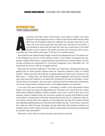#### **INTRODUCTION** TOM ENGELHARDT

Volunteer Infantry Regiment wrote in a letter to the *Omaha Wo*<br>1900 from the Philippines about the treatment of a prisoner is<br>"Now, this is the way we give them the water cure. Lay them<br>man standing on each hand and each ccording to the *New Yorker*'s Paul Kramer, here's what A.F. Miller of the 32nd Volunteer Infantry Regiment wrote in a letter to the *Omaha World-Herald* in May 1900 from the Philippines about the treatment of a prisoner taken by his unit: "Now, this is the way we give them the water cure. Lay them on their backs, a man standing on each hand and each foot, then put a round stick in the mouth and pour a pail of water in the mouth and nose, and if they don't give up pour

One American was indeed finally brought to trial for the widespread use of "the water cure" in the Philippines at the turn of the previous century as the Filipino insurgency was suppressed. Captain Edwin Glenn, a judge advocate, supervised such a torture session. For this, he was convicted and sentenced to a "one-month suspension and a fifty-dollar fine." He retired from the Army in 1919 as a brigadier general.

Many were the American defenses of "the water cure" back then, including the blunt suggestion that, on racial grounds, Filipinos were not "owed the 'protective' limits of 'civilized warfare.'" Many have been the defenses of waterboarding and other forms of torture in the Bush years — among them, the all-but-racially based suggestion that America's enemies (you know who) don't deserve to be dealt with according to the laws of civilization, including the Geneva Conventions. Then and now, a relatively small but hardy crew of Americans, in and out of government, protested, wrote, and struggled against such practices.

In our time, they have included Karen J. Greenberg, co-editor of the monumental *Torture Papers*, who writes here about the latest defense of "the water cure," this time by the Justice Department's Stephen Bradbury. Another member of this crew is Scott Horton who, at his eloquent *Harper's* magazine blog, No Comment, pointed out recently that Bradbury's testimony before a congressional committee represented but the first of a Valentine's Day torture trifecta. Among those who stepped up to the plate that day was the President himself who defended waterboarding in an interview with the BBC this way: "To the critics, I ask them this: when we, within the law, interrogate and get information that protects ourselves and possibly others in other nations to prevent attacks, which attack would they have hoped that we wouldn't have prevented?"

With that in mind, enter the torture museum and history be damned.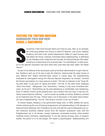#### VISITING THE TORTURE MUSEUM BARBARISM THEN AND NOW KAREN J. GREENBERG



The Continuing debate over torture in post-9/11 America. Last month, Stephen Bradbury, the head of the Justice Department's Office of Legal Counsel, testified before the House Judiciary Committee about waterboarding. In de ometimes a little stroll through history can have its uses. Take, as an example, the continuing debate over torture in post-9/11 America. Last month, Stephen Bradbury, the head of the Justice Department's Office of Legal Counsel, testified before the House Judiciary Committee about waterboarding. In defending its use, Bradbury took a deep dive into the past. He claimed that the CIA's waterboarding of at least three of its prisoners bore "no resemblance" to what tortur-

Torture."

As part of his defense of the techniques used by the Bush administration to gain information, Bradbury went out of his way to play the historian, claiming that the water torture of yore differed from today's American-style version in crucial ways. The waterboarding employed by interrogators during the infamous Spanish Inquisition, he insisted, "involved the forced consumption of a mass amount of water." This led, he claimed, to the "lungs filling with water" to the point of "agony and death." The CIA, on the other hand, employed "strict time limits," "safeguards," and "restrictions," making it a far more controlled technique. As he put it: "[S]omething can be quite distressing or comfortable, even frightening, [but] if it doesn't involve severe physical pain, and it doesn't last very long, it may not constitute severe physical suffering" – and so would not qualify as torture. Bradbury summed up his historical case this way, "There's been a lot of discussion in the public about historical uses of waterboarding," but the "only thing in common is the use of water."

To remind readers, Bradbury is the government lawyer who, in 2005, drafted two secret memos authorizing the use of freezing temperatures, and waterboarding in CIA attempts to break terrorism detainees. Nor is Bradbury the only one with the urge to distinguish any current American proclivity towards torture from the barbaric procedures used until the Enlightenment set in. As Senator Joseph Lieberman commented recently, citing another medieval torture technique, waterboarding "is not like putting burning coals on people's bodies. The person is in no real danger. The impact is psychological." Waterboarding isn't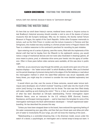torture, both men claimed, because it leaves no "permanent damage."

#### VISITING THE WATER TABLE

It's here that our stroll down history's narrow, medieval lanes comes in. Anyone curious to test Bradbury's historical accuracy should consider a visit to one of the dozens of torture museums that dot Europe's landscape. Why not, for instance, the bluntly named Torture Museum in Prague, the capital of the Czech Republic. Unlike other European memorials to torture, such as the Clink Prison in London and the torture museums in Florence and San Gimigniano, this modest two-story building in a former private home in Prague's historic Old Town is a relative newcomer to the continent's penchant for recording its past mistakes.

Upon entering one of a series of gloomy, cave-like rooms, filled with the implements of the dismal craft that had its heyday from the fifteenth to the eighteenth century, you would notice a range of mechanical devices and iron tools (also illustrated in drawings galore), all once meant to pierce, prod, or otherwise drive some poor heretic into the agony of confession. Often in those years before video cameras were available, all this was done in public sight.

And then, as you wound your way through the exhibit, you would come upon one of its centerpiece displays — the "water torture table" to which Bradbury alludes. After you'd checked out the period drawings of prisoners being tied to the edges of the flat tabletop or read about the interrogation method in which the water-filled abdomen was struck repeatedly with heavy blows, you might stop for a moment to consider the more detailed explanatory text nearby.

It would inform you that, over the course of these centuries, several water torture techniques were developed, one of which involved "inserting a cloth tube into the mouth of the victim [and] forcing it as deep as possible into his throat. The tube was then filled slowly with water, swelling up and choking the victim." This is, in fact, an almost exact description of what has been described as CIA-style waterboarding. Former interrogation expert Malcolm Nance, once an instructor for the U.S. military's SERE (Survival, Evasion, Resistance, and Escape) training program — said to have been the template for some of the interrogation techniques the Bush administration developed — himself experienced waterboarding. He has described the process this way:

"Unless you have been strapped down to the board, have endured the agonizing feeling of the water overpowering your gag reflex, and then feel your throat open and allow pint after pint of water to involuntarily fill your lungs, you will not know the meaning of the word…

"Waterboarding is a controlled drowning that, in the American model, occurs under the watch of a doctor, a psychologist, an interrogator and a trained strap-in/strap-out team. It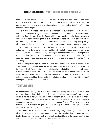does not simulate drowning, as the lungs are actually filling with water. There is no way to simulate that. The victim is drowning. How much the victim is to drown depends on the desired result (in the form of answers to questions shouted into the victim's face) and the obstinacy of the subject."

The similarity in methods across a torture gulf of at least four centuries would have been but the first of many striking lessons for our modern moment from a tour of this museum, only steps from the famed Charles Bridge with its own medieval and religious statues, a museum modest in everything but its subject matter. Perhaps the eeriest lesson would be just how many of the torture techniques illustrated in these rooms are still painfully recognizable and are, in fact but minor variations on those practiced today in America's name.

Take, for example, those etchings of the *strappado* or "jerking" in which the arms were pulled up behind the prisoner in what would now be called a "stress position" before he would be "jerked" or dropped painfully. The weights and leather ties on display are perhaps a reminder that a version of the *strappado* is perhaps the most common form of torture reportedly used throughout America's offshore prison systems today. It is called "short shackling."

And don't forget the Vigil or Cradle of Judas, which today we far more mundanely term "sleep deprivation." Or what about the medieval use of cold water sprinkled onto naked bodies (another kind of water torture), today mimicked with what official documents call "exposure to freezing temperatures"? Of course, with those infamous photos from Iraq's Abu Ghraib prison in mind, you would have no trouble recognizing the persistent themes of nakedness and sexual humiliation endemic to what no one back in the less civilized days of the Inquisition hesitated to label "torture."

#### TORTURE LITE

As you wandered through the Prague Torture Museum, noting all the practices other than waterboarding that have their modern American equivalents, you shouldn't skip past the medieval forms of torture the United States doesn't practice. Scattered through these precincts are terrifying mechanical devices and tools that once led to permanent physical damage and often to the death of those being questioned. Take the Virgin of Nuremberg, a full-body casket studded with spikes meant to slowly pierce any living being closed inside and sure to cause a long, agonizing death.

Then, there's the Bock, often called the Witch's Billy Goat, a wood pyramid designed to pierce the genitals, and that torture shown in classic Hollywood medieval costume dramas, the Rack, in which the human body was literally stretched beyond the tearing point, or the Garrote, an instrument whose sole task was to crush the head.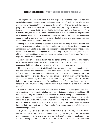Had Stephen Bradbury come along with you, eager to discover the differences between pre-Enlightenment torture and today's "enhanced interrogation" methods, he might feel satisfied indeed as he passed through this part of the exhibit  $-$  if, that is, he avoided the accompanying texts that sit on small easels near these horrifying arrays of instruments. For on them, you and he would find the theory that lay behind the practices of those torturers from a barbaric past, and he would discover that those torturers of old, like his colleagues in the Bush administration, distinguished between torture and Torture Lite. The former was indeed meant to result in permanent damage or simply death. The latter was consciously meant to cause "mere" suffering, however protracted.

Reading these texts, Bradbury might find himself uncomfortably at home. After all, his Justice Department has followed similar reasoning, although, unlike medieval torturers, its practitioners have used it as the basis for distinguishing between torture and what they like to describe as "enhanced interrogation techniques." They have, in other words, declared part of the Spanish Inquisition's torture techniques too lenient to qualify as torture. This is perhaps their unique achievement.

Medieval torturers, of course, hadn't had the benefit of the Enlightenment and modern American civilization when they failed to make this fundamental distinction. They did not understand that the infliction of "mere suffering" did not qualify as torture.

If Bradbury were being honest with himself, however, he would certainly recognize a parallel between the medieval distinctions and those made by his predecessor as head of the Office of Legal Counsel, John Yoo. In his infamous "Torture Memo" of August 2002, Yoo parsed the definition of torture this way: "[Torture] must be of an intensity akin to that which accompanies serious physical injury such as death or organ failure… Because the acts inflicting torture are extreme, there is [a] significant range of acts that though they might constitute cruel, inhuman, or degrading treatment or punishment fail to rise to the level of torture."

In terms of torture as it was understood from medieval times until the Enlightenment, what American interrogators have inflicted on terror suspects in secret prisons around the world has amounted "only" to Torture Lite, now redefined as "mere suffering" and so not really torture at all. As Bradbury reminded congresspeople just the other day, what we do is, by definition, not torture. Following Yoo's and Bradbury's lead, the President, Vice President, two Attorney Generals, and the Secretary of State have joined in the same chorus, repeatedly insisting that "we do not torture." And in John Yoo's terms, echoing pre-Enlightenment understandings, we don't.

Now, if Bradbury were to stop off by that Water Torture table on his way out of the museum and then opened his catalogue of the show, he might be intrigued to discover as succinct a legitimization of his form of torture as any he offered Congress. The catalogue follows a passage noting that the medieval water torture "in all of its variations, was considered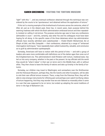'light'" with this: "…and any eventual confession obtained through this technique was considered by the courts to be 'spontaneous' and obtained without the application of torture."

If this isn't a moving example of the brotherhood of torturers across the centuries, what is? After all, just as in the distant past, there has, in recent years, been purpose behind the seeming madness with which the Bush administration embraced torture and then repeatedly insisted on calling it not-torture. The purpose centuries ago was to have any confessions admissible in court – and this, certainly, was what Yoo and his colleagues must have been hoping for all along. In the specific cases of the three detainees whom top administration officials have recently admitted were waterboarded — Khalid Sheikh Mohammed, Ibn al Shayk al-Libbi, and Abu Zubaydah — their confessions, obtained by a range of "enhanced interrogation techniques," have repeatedly been called trustworthy, valuable, and conclusive as to guilt by administration spokespeople.

Someday, Americans will have to reckon with this period of time — and with a group of leaders who were more comfortable with definitions out of the darker ages than ones out of the Enlightenment era. This administration's bold flirtation with torture, medieval-style, has led us into sorry company, whether in the past or the present. Its top officials told the world they would do "what it takes" in their war on terror and in the Middle East, with or without allies. They then chose to leave the family of nations and take up kinship in the family of torturers.

Someday, our children may travel to Washington and somewhere near the Smithsonian and the Holocaust Museum, perhaps they, like the Czechs and other Europeans, will be able to visit their own official torture museum. There, a step from the Potomac River, they will be able to view strange instruments for inflicting pain and perhaps even watch horrifying videos of torture happening. And they may wonder how we ever faltered so miserably when it came to a war that was supposed to be on terror, but ended up adopting the worst traditions of terror in the Age of Barbarism Lite.